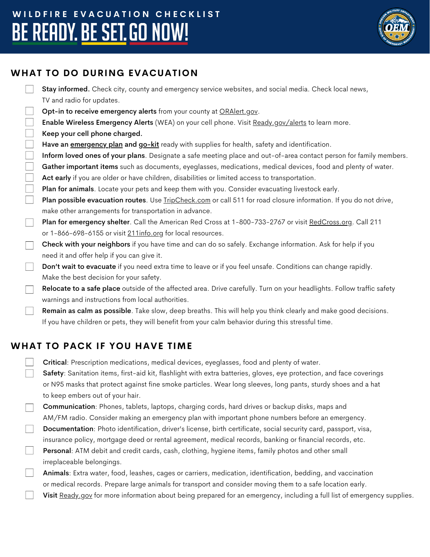# WILDFIRE EVACUATION CHECKLIST BE READY. BE SET. GO NOW!



### **WHAT TO DO DURING EVACUATION**

|                             | Stay informed. Check city, county and emergency service websites, and social media. Check local news,                  |
|-----------------------------|------------------------------------------------------------------------------------------------------------------------|
|                             | TV and radio for updates.                                                                                              |
| $\frac{1}{2}$               | Opt-in to receive emergency alerts from your county at ORAlert.gov.                                                    |
| $\overline{\phantom{a}}$    | Enable Wireless Emergency Alerts (WEA) on your cell phone. Visit Ready.gov/alerts to learn more.                       |
|                             | Keep your cell phone charged.                                                                                          |
|                             | Have an <b>emergency plan and go-kit</b> ready with supplies for health, safety and identification.                    |
| $\mathcal{L}_{\mathcal{A}}$ | Inform loved ones of your plans. Designate a safe meeting place and out-of-area contact person for family members.     |
| $\overline{\phantom{a}}$    | Gather important items such as documents, eyeglasses, medications, medical devices, food and plenty of water.          |
|                             | Act early if you are older or have children, disabilities or limited access to transportation.                         |
|                             | Plan for animals. Locate your pets and keep them with you. Consider evacuating livestock early.                        |
| $\overline{\phantom{a}}$    | Plan possible evacuation routes. Use TripCheck.com or call 511 for road closure information. If you do not drive,      |
|                             | make other arrangements for transportation in advance.                                                                 |
| $\overline{\phantom{a}}$    | Plan for emergency shelter. Call the American Red Cross at 1-800-733-2767 or visit RedCross.org. Call 211              |
|                             | or 1-866-698-6155 or visit 211info.org for local resources.                                                            |
| $\overline{\phantom{a}}$    | Check with your neighbors if you have time and can do so safely. Exchange information. Ask for help if you             |
|                             | need it and offer help if you can give it.                                                                             |
| $\mathbb{R}$                | Don't wait to evacuate if you need extra time to leave or if you feel unsafe. Conditions can change rapidly.           |
|                             | Make the best decision for your safety.                                                                                |
| $\Box$                      | Relocate to a safe place outside of the affected area. Drive carefully. Turn on your headlights. Follow traffic safety |
|                             | warnings and instructions from local authorities.                                                                      |
| $\mathbb{R}$                | Remain as calm as possible. Take slow, deep breaths. This will help you think clearly and make good decisions.         |
|                             | If you have children or pets, they will benefit from your calm behavior during this stressful time.                    |
|                             |                                                                                                                        |
|                             | JAT TA DACƘ IE VAII UAVE TIME                                                                                          |

## **WHAT TO PACK IF YOU HAVE TIME**

Critical: Prescription medications, medical devices, eyeglasses, food and plenty of water.

Safety: Sanitation items, first-aid kit, flashlight with extra batteries, gloves, eye protection, and face coverings or N95 masks that protect against fine smoke particles. Wear long sleeves, long pants, sturdy shoes and a hat to keep embers out of your hair.

Communication: Phones, tablets, laptops, charging cords, hard drives or backup disks, maps and AM/FM radio. Consider making an emergency plan with important phone numbers before an emergency.

- Documentation: Photo identification, driver's license, birth certificate, social security card, passport, visa, insurance policy, mortgage deed or rental agreement, medical records, banking or financial records, etc.
- Personal: ATM debit and credit cards, cash, clothing, hygiene items, family photos and other small irreplaceable belongings.

Animals: Extra water, food, leashes, cages or carriers, medication, identification, bedding, and vaccination or medical records. Prepare large animals for transport and consider moving them to a safe location early.

Visit [Ready.gov](https://www.ready.gov/kit) for more information about being prepared for an emergency, including a full list of emergency supplies.